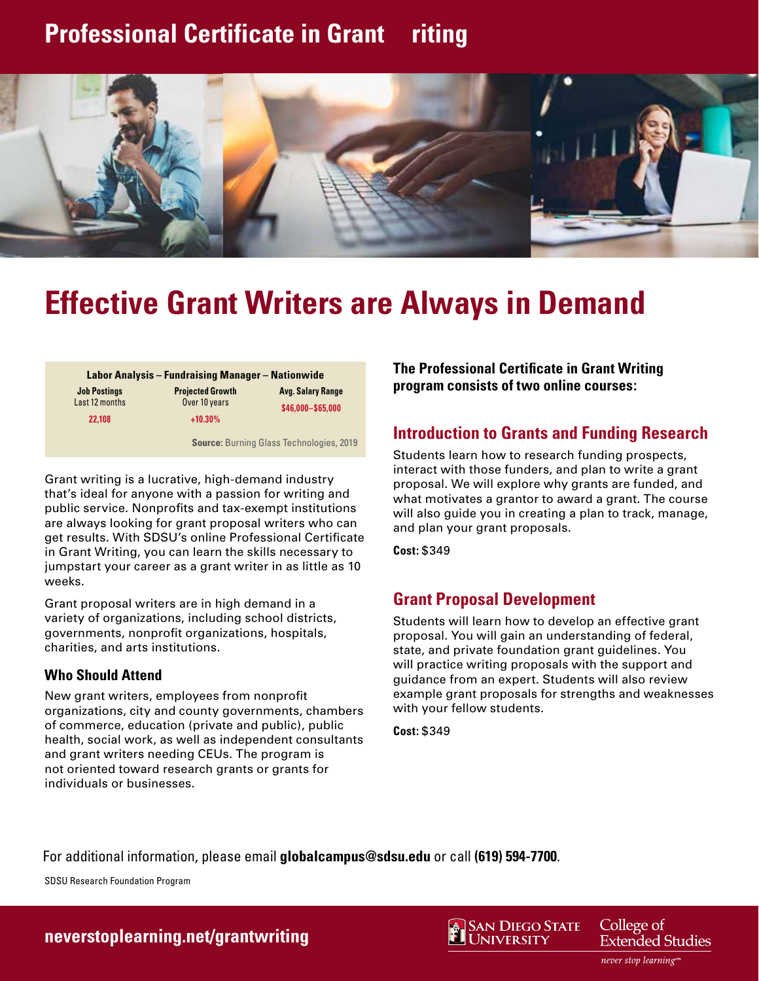## **Professional Certificate in Grant riting**



# **Effective Grant Writers are Always in Demand**

| <b>Labor Analysis - Fundraising Manager - Nationwide</b> |                                                              |                                               |
|----------------------------------------------------------|--------------------------------------------------------------|-----------------------------------------------|
| <b>Job Postings</b><br>Last 12 months                    | <b>Projected Growth</b><br>Over 10 years                     | <b>Avg. Salary Range</b><br>\$46,000-\$65,000 |
| 22.108                                                   | $+10.30%$<br><b>Source: Burning Glass Technologies, 2019</b> |                                               |

Grant writing is a lucrative, high-demand industry that's ideal for anyone with a passion for writing and public service. Nonprofits and tax-exempt institutions are always looking for grant proposal writers who can get results. With SDSU's online Professional Certificate in Grant Writing, you can learn the skills necessary to jumpstart your career as a grant writer in as little as 10 weeks.

Grant proposal writers are in high demand in a variety of organizations, including school districts, governments, nonprofit organizations, hospitals, charities, and arts institutions.

#### **Who Should Attend**

New grant writers, employees from nonprofit organizations, city and county governments, chambers of commerce, education (private and public), public health, social work, as well as independent consultants and grant writers needing CEUs. The program is not oriented toward research grants or grants for individuals or businesses.

**The Professional Certificate in Grant Writing program consists of two online courses:**

#### **Introduction to Grants and Funding Research**

Students learn how to research funding prospects, interact with those funders, and plan to write a grant proposal. We will explore why grants are funded, and what motivates a grantor to award a grant. The course will also guide you in creating a plan to track, manage, and plan your grant proposals.

**Cost:** \$349

#### **Grant Proposal Development**

Students will learn how to develop an effective grant proposal. You will gain an understanding of federal, state, and private foundation grant guidelines. You will practice writing proposals with the support and guidance from an expert. Students will also review example grant proposals for strengths and weaknesses with your fellow students.

**Cost:** \$349

For additional information, please email **[globalcampus@sdsu.edu](mailto:globalcampus@sdsu.edu)** or call **(619) 594-7700**.

SDSU Research Foundation Program

#### **[neverstoplearning.net/grantwriting](https://ces.sdsu.edu/business/professional-certificate-grant-writing)**



College of **Extended Studies** 

never stop learningsm